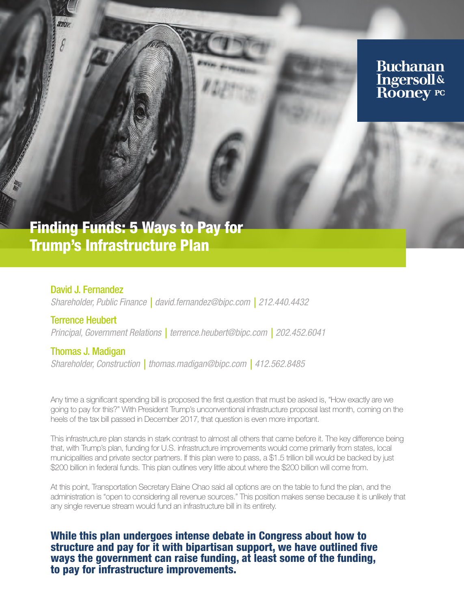

# Trump's Infrastructure Plan

David J. Fernandez *Shareholder, Public Finance | david.fernandez@bipc.com | 212.440.4432*

Terrence Heubert *Principal, Government Relations | terrence.heubert@bipc.com | 202.452.6041*

Thomas J. Madigan *Shareholder, Construction | thomas.madigan@bipc.com | 412.562.8485*

Any time a significant spending bill is proposed the first question that must be asked is, "How exactly are we going to pay for this?" With President Trump's unconventional infrastructure proposal last month, coming on the heels of the tax bill passed in December 2017, that question is even more important.

This infrastructure plan stands in stark contrast to almost all others that came before it. The key difference being that, with Trump's plan, funding for U.S. infrastructure improvements would come primarily from states, local municipalities and private sector partners. If this plan were to pass, a \$1.5 trillion bill would be backed by just \$200 billion in federal funds. This plan outlines very little about where the \$200 billion will come from.

At this point, Transportation Secretary Elaine Chao said all options are on the table to fund the plan, and the administration is "open to considering all revenue sources." This position makes sense because it is unlikely that any single revenue stream would fund an infrastructure bill in its entirety.

## While this plan undergoes intense debate in Congress about how to structure and pay for it with bipartisan support, we have outlined five ways the government can raise funding, at least some of the funding, to pay for infrastructure improvements.